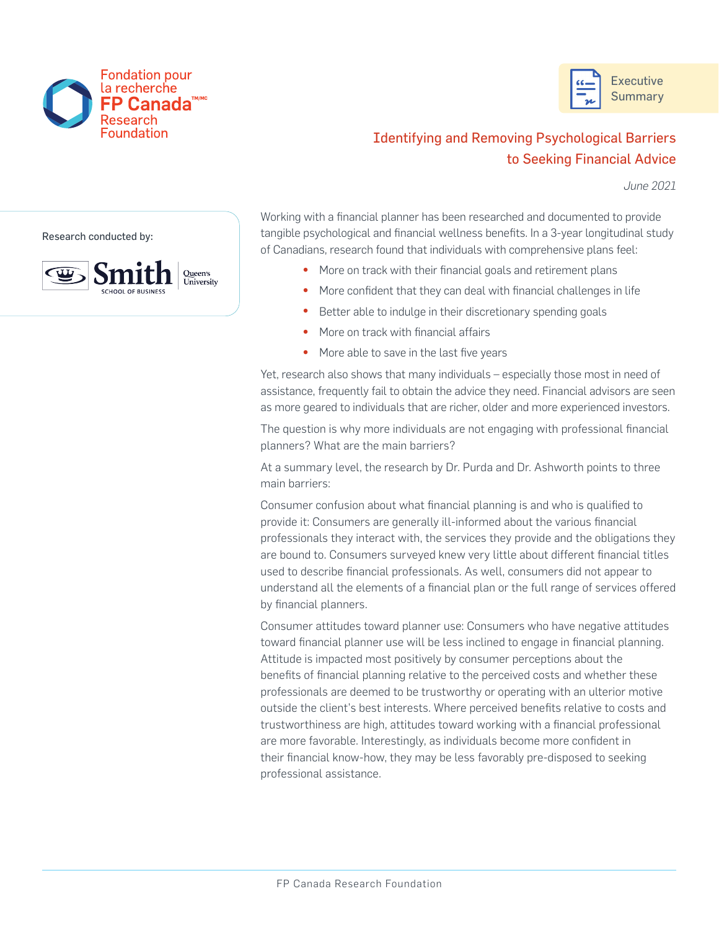



## Identifying and Removing Psychological Barriers to Seeking Financial Advice

*June 2021*

Research conducted by:



Working with a financial planner has been researched and documented to provide tangible psychological and financial wellness benefits. In a 3-year longitudinal study of Canadians, research found that individuals with comprehensive plans feel:

- More on track with their financial goals and retirement plans
- More confident that they can deal with financial challenges in life
- Better able to indulge in their discretionary spending goals
- More on track with financial affairs
- More able to save in the last five years

Yet, research also shows that many individuals – especially those most in need of assistance, frequently fail to obtain the advice they need. Financial advisors are seen as more geared to individuals that are richer, older and more experienced investors.

The question is why more individuals are not engaging with professional financial planners? What are the main barriers?

At a summary level, the research by Dr. Purda and Dr. Ashworth points to three main barriers:

Consumer confusion about what financial planning is and who is qualified to provide it: Consumers are generally ill-informed about the various financial professionals they interact with, the services they provide and the obligations they are bound to. Consumers surveyed knew very little about different financial titles used to describe financial professionals. As well, consumers did not appear to understand all the elements of a financial plan or the full range of services offered by financial planners.

Consumer attitudes toward planner use: Consumers who have negative attitudes toward financial planner use will be less inclined to engage in financial planning. Attitude is impacted most positively by consumer perceptions about the benefits of financial planning relative to the perceived costs and whether these professionals are deemed to be trustworthy or operating with an ulterior motive outside the client's best interests. Where perceived benefits relative to costs and trustworthiness are high, attitudes toward working with a financial professional are more favorable. Interestingly, as individuals become more confident in their financial know-how, they may be less favorably pre-disposed to seeking professional assistance.